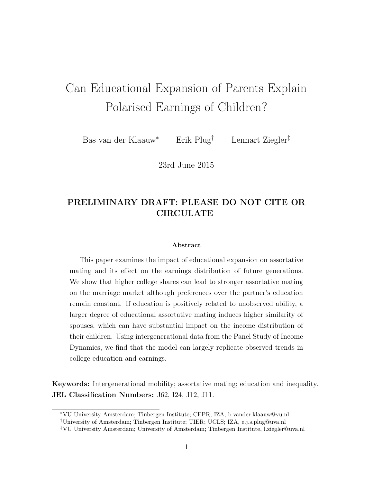# Can Educational Expansion of Parents Explain Polarised Earnings of Children?

Bas van der Klaauw⇤ Erik Plug*†* Lennart Ziegler*‡*

23rd June 2015

### PRELIMINARY DRAFT: PLEASE DO NOT CITE OR CIRCULATE

#### Abstract

This paper examines the impact of educational expansion on assortative mating and its effect on the earnings distribution of future generations. We show that higher college shares can lead to stronger assortative mating on the marriage market although preferences over the partner's education remain constant. If education is positively related to unobserved ability, a larger degree of educational assortative mating induces higher similarity of spouses, which can have substantial impact on the income distribution of their children. Using intergenerational data from the Panel Study of Income Dynamics, we find that the model can largely replicate observed trends in college education and earnings.

Keywords: Intergenerational mobility; assortative mating; education and inequality. JEL Classification Numbers: J62, I24, J12, J11.

<sup>⇤</sup>VU University Amsterdam; Tinbergen Institute; CEPR; IZA, [b.vander.klaauw@vu.nl](http://b.vander.klaauw@vu.nl)

*<sup>†</sup>*University of Amsterdam; Tinbergen Institute; TIER; UCLS; IZA, [e.j.s.plug@uva.nl](http://e.j.s.plug@uva.nl)

*<sup>‡</sup>*VU University Amsterdam; University of Amsterdam; Tinbergen Institute, [l.ziegler@uva.nl](http://l.ziegler@uva.nl)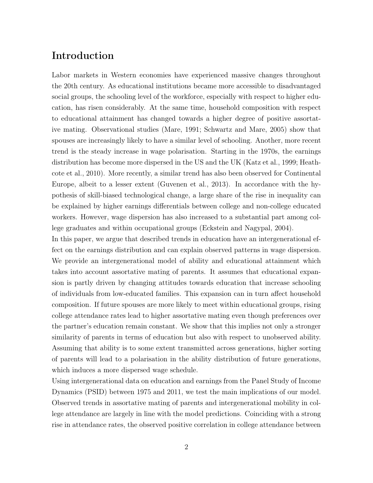# Introduction

Labor markets in Western economies have experienced massive changes throughout the 20th century. As educational institutions became more accessible to disadvantaged social groups, the schooling level of the workforce, especially with respect to higher education, has risen considerably. At the same time, household composition with respect to educational attainment has changed towards a higher degree of positive assortative mating. Observational studies [\(Mare, 1991;](#page-18-0) [Schwartz and Mare, 2005\)](#page-18-1) show that spouses are increasingly likely to have a similar level of schooling. Another, more recent trend is the steady increase in wage polarisation. Starting in the 1970s, the earnings distribution has become more dispersed in the US and the UK [\(Katz et al., 1999;](#page-18-2) [Heath](#page-17-0)[cote et al., 2010\)](#page-17-0). More recently, a similar trend has also been observed for Continental Europe, albeit to a lesser extent [\(Guvenen et al., 2013\)](#page-17-1). In accordance with the hypothesis of skill-biased technological change, a large share of the rise in inequality can be explained by higher earnings differentials between college and non-college educated workers. However, wage dispersion has also increased to a substantial part among college graduates and within occupational groups [\(Eckstein and Nagypal, 2004\)](#page-17-2).

In this paper, we argue that described trends in education have an intergenerational effect on the earnings distribution and can explain observed patterns in wage dispersion. We provide an intergenerational model of ability and educational attainment which takes into account assortative mating of parents. It assumes that educational expansion is partly driven by changing attitudes towards education that increase schooling of individuals from low-educated families. This expansion can in turn affect household composition. If future spouses are more likely to meet within educational groups, rising college attendance rates lead to higher assortative mating even though preferences over the partner's education remain constant. We show that this implies not only a stronger similarity of parents in terms of education but also with respect to unobserved ability. Assuming that ability is to some extent transmitted across generations, higher sorting of parents will lead to a polarisation in the ability distribution of future generations, which induces a more dispersed wage schedule.

Using intergenerational data on education and earnings from the Panel Study of Income Dynamics (PSID) between 1975 and 2011, we test the main implications of our model. Observed trends in assortative mating of parents and intergenerational mobility in college attendance are largely in line with the model predictions. Coinciding with a strong rise in attendance rates, the observed positive correlation in college attendance between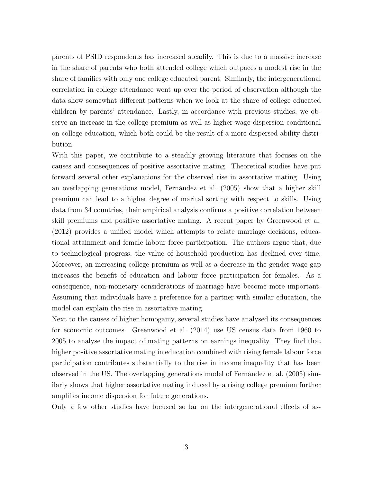parents of PSID respondents has increased steadily. This is due to a massive increase in the share of parents who both attended college which outpaces a modest rise in the share of families with only one college educated parent. Similarly, the intergenerational correlation in college attendance went up over the period of observation although the data show somewhat different patterns when we look at the share of college educated children by parents' attendance. Lastly, in accordance with previous studies, we observe an increase in the college premium as well as higher wage dispersion conditional on college education, which both could be the result of a more dispersed ability distribution.

With this paper, we contribute to a steadily growing literature that focuses on the causes and consequences of positive assortative mating. Theoretical studies have put forward several other explanations for the observed rise in assortative mating. Using an overlapping generations model, [Fernández et al.](#page-17-3) [\(2005\)](#page-17-3) show that a higher skill premium can lead to a higher degree of marital sorting with respect to skills. Using data from 34 countries, their empirical analysis confirms a positive correlation between skill premiums and positive assortative mating. A recent paper by [Greenwood et al.](#page-17-4) [\(2012\)](#page-17-4) provides a unified model which attempts to relate marriage decisions, educational attainment and female labour force participation. The authors argue that, due to technological progress, the value of household production has declined over time. Moreover, an increasing college premium as well as a decrease in the gender wage gap increases the benefit of education and labour force participation for females. As a consequence, non-monetary considerations of marriage have become more important. Assuming that individuals have a preference for a partner with similar education, the model can explain the rise in assortative mating.

Next to the causes of higher homogamy, several studies have analysed its consequences for economic outcomes. [Greenwood et al.](#page-17-5) [\(2014\)](#page-17-5) use US census data from 1960 to 2005 to analyse the impact of mating patterns on earnings inequality. They find that higher positive assortative mating in education combined with rising female labour force participation contributes substantially to the rise in income inequality that has been observed in the US. The overlapping generations model of [Fernández et al.](#page-17-3) [\(2005\)](#page-17-3) similarly shows that higher assortative mating induced by a rising college premium further amplifies income dispersion for future generations.

Only a few other studies have focused so far on the intergenerational effects of as-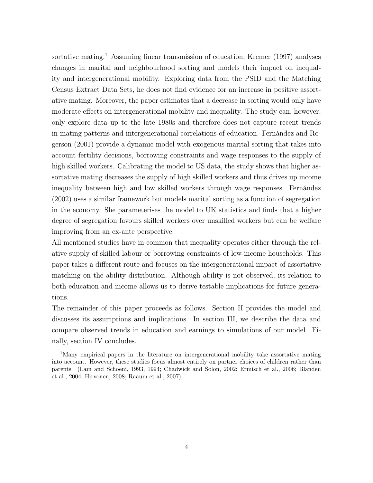sortative mating.<sup>[1](#page-3-0)</sup> Assuming linear transmission of education, [Kremer](#page-18-3) [\(1997\)](#page-18-3) analyses changes in marital and neighbourhood sorting and models their impact on inequality and intergenerational mobility. Exploring data from the PSID and the Matching Census Extract Data Sets, he does not find evidence for an increase in positive assortative mating. Moreover, the paper estimates that a decrease in sorting would only have moderate effects on intergenerational mobility and inequality. The study can, however, only explore data up to the late 1980s and therefore does not capture recent trends in mating patterns and intergenerational correlations of education. [Fernández and Ro](#page-17-6)[gerson](#page-17-6) [\(2001\)](#page-17-6) provide a dynamic model with exogenous marital sorting that takes into account fertility decisions, borrowing constraints and wage responses to the supply of high skilled workers. Calibrating the model to US data, the study shows that higher assortative mating decreases the supply of high skilled workers and thus drives up income inequality between high and low skilled workers through wage responses. [Fernández](#page-17-7) [\(2002\)](#page-17-7) uses a similar framework but models marital sorting as a function of segregation in the economy. She parameterises the model to UK statistics and finds that a higher degree of segregation favours skilled workers over unskilled workers but can be welfare improving from an ex-ante perspective.

All mentioned studies have in common that inequality operates either through the relative supply of skilled labour or borrowing constraints of low-income households. This paper takes a different route and focuses on the intergenerational impact of assortative matching on the ability distribution. Although ability is not observed, its relation to both education and income allows us to derive testable implications for future generations.

The remainder of this paper proceeds as follows. Section II provides the model and discusses its assumptions and implications. In section III, we describe the data and compare observed trends in education and earnings to simulations of our model. Finally, section IV concludes.

<span id="page-3-0"></span><sup>&</sup>lt;sup>1</sup>Many empirical papers in the literature on intergenerational mobility take assortative mating into account. However, these studies focus almost entirely on partner choices of children rather than parents. [\(Lam and Schoeni, 1993,](#page-18-4) [1994;](#page-18-5) [Chadwick and Solon, 2002;](#page-17-8) [Ermisch et al., 2006;](#page-17-9) [Blanden](#page-17-10) [et al., 2004;](#page-17-10) [Hirvonen, 2008;](#page-18-6) [Raaum et al., 2007\)](#page-18-7).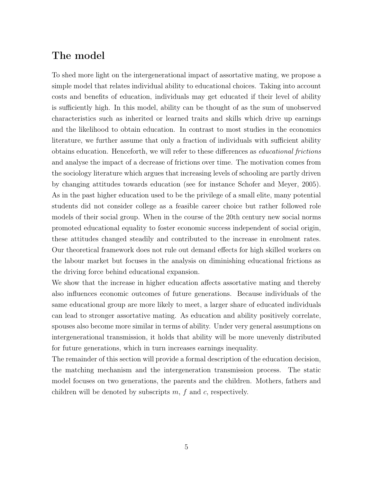## The model

To shed more light on the intergenerational impact of assortative mating, we propose a simple model that relates individual ability to educational choices. Taking into account costs and benefits of education, individuals may get educated if their level of ability is sufficiently high. In this model, ability can be thought of as the sum of unobserved characteristics such as inherited or learned traits and skills which drive up earnings and the likelihood to obtain education. In contrast to most studies in the economics literature, we further assume that only a fraction of individuals with sufficient ability obtains education. Henceforth, we will refer to these differences as *educational frictions* and analyse the impact of a decrease of frictions over time. The motivation comes from the sociology literature which argues that increasing levels of schooling are partly driven by changing attitudes towards education (see for instance [Schofer and Meyer, 2005\)](#page-18-8). As in the past higher education used to be the privilege of a small elite, many potential students did not consider college as a feasible career choice but rather followed role models of their social group. When in the course of the 20th century new social norms promoted educational equality to foster economic success independent of social origin, these attitudes changed steadily and contributed to the increase in enrolment rates. Our theoretical framework does not rule out demand effects for high skilled workers on the labour market but focuses in the analysis on diminishing educational frictions as the driving force behind educational expansion.

We show that the increase in higher education affects assortative mating and thereby also influences economic outcomes of future generations. Because individuals of the same educational group are more likely to meet, a larger share of educated individuals can lead to stronger assortative mating. As education and ability positively correlate, spouses also become more similar in terms of ability. Under very general assumptions on intergenerational transmission, it holds that ability will be more unevenly distributed for future generations, which in turn increases earnings inequality.

The remainder of this section will provide a formal description of the education decision, the matching mechanism and the intergeneration transmission process. The static model focuses on two generations, the parents and the children. Mothers, fathers and children will be denoted by subscripts *m*, *f* and *c*, respectively.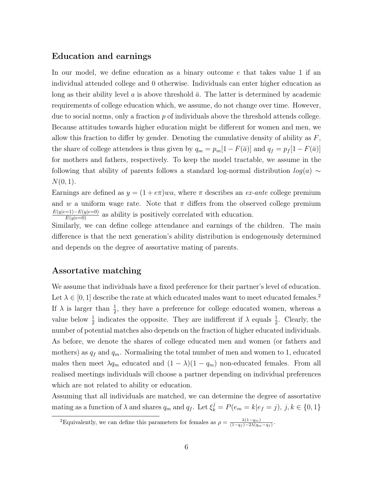### Education and earnings

In our model, we define education as a binary outcome *e* that takes value 1 if an individual attended college and 0 otherwise. Individuals can enter higher education as long as their ability level  $\alpha$  is above threshold  $\bar{\alpha}$ . The latter is determined by academic requirements of college education which, we assume, do not change over time. However, due to social norms, only a fraction *p* of individuals above the threshold attends college. Because attitudes towards higher education might be different for women and men, we allow this fraction to differ by gender. Denoting the cumulative density of ability as *F*, the share of college attendees is thus given by  $q_m = p_m[1 - F(\bar{a})]$  and  $q_f = p_f[1 - F(\bar{a})]$ for mothers and fathers, respectively. To keep the model tractable, we assume in the following that ability of parents follows a standard log-normal distribution  $log(a) \sim$ *N*(0*,* 1).

Earnings are defined as  $y = (1 + e\pi)wa$ , where  $\pi$  describes an *ex-ante* college premium and *w* a uniform wage rate. Note that  $\pi$  differs from the observed college premium  $\frac{E(y|e=1)-E(y|e=0)}{E(y|e=0)}$  as ability is positively correlated with education.

Similarly, we can define college attendance and earnings of the children. The main difference is that the next generation's ability distribution is endogenously determined and depends on the degree of assortative mating of parents.

### Assortative matching

We assume that individuals have a fixed preference for their partner's level of education. Let  $\lambda \in [0, 1]$  describe the rate at which educated males want to meet educated females.<sup>[2](#page-5-0)</sup> If  $\lambda$  is larger than  $\frac{1}{2}$ , they have a preference for college educated women, whereas a value below  $\frac{1}{2}$  indicates the opposite. They are indifferent if  $\lambda$  equals  $\frac{1}{2}$ . Clearly, the number of potential matches also depends on the fraction of higher educated individuals. As before, we denote the shares of college educated men and women (or fathers and mothers) as  $q_f$  and  $q_m$ . Normalising the total number of men and women to 1, educated males then meet  $\lambda q_m$  educated and  $(1 - \lambda)(1 - q_m)$  non-educated females. From all realised meetings individuals will choose a partner depending on individual preferences which are not related to ability or education.

Assuming that all individuals are matched, we can determine the degree of assortative mating as a function of  $\lambda$  and shares  $q_m$  and  $q_f$ . Let  $\xi_k^j = P(e_m = k | e_f = j)$ ,  $j, k \in \{0, 1\}$ 

<span id="page-5-0"></span><sup>&</sup>lt;sup>2</sup>Equivalently, we can define this parameters for females as  $\rho = \frac{\lambda(1-q_m)}{(1-q_f)-2\lambda(q_m-q_f)}$ .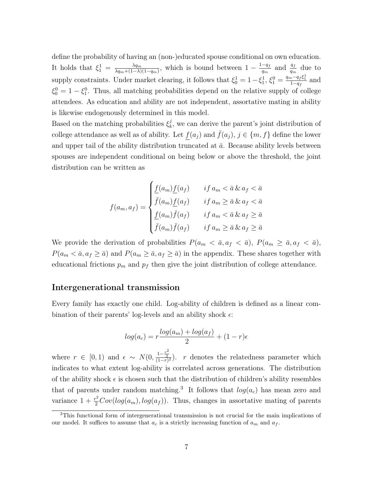define the probability of having an (non-)educated spouse conditional on own education. It holds that  $\xi_1^1 = \frac{\lambda q_m}{\lambda q_m + (1-\lambda)(1-q_m)}$ , which is bound between  $1 - \frac{1-q_f}{q_m}$  and  $\frac{q_f}{q_m}$  due to supply constraints. Under market clearing, it follows that  $\xi_0^1 = 1 - \xi_1^1$ ,  $\xi_1^0 = \frac{q_m - q_f \xi_1^1}{1 - q_f}$  and  $\xi_0^0 = 1 - \xi_1^0$ . Thus, all matching probabilities depend on the relative supply of college attendees. As education and ability are not independent, assortative mating in ability is likewise endogenously determined in this model.

Based on the matching probabilities  $\xi_k^j$ , we can derive the parent's joint distribution of college attendance as well as of ability. Let  $f(a_j)$  and  $\bar{f}(a_j)$ ,  $j \in \{m, f\}$  define the lower and upper tail of the ability distribution truncated at  $\bar{a}$ . Because ability levels between spouses are independent conditional on being below or above the threshold, the joint distribution can be written as

$$
f(a_m, a_f) = \begin{cases} \frac{f(a_m) f(a_f)}{\bar{f}(a_m) f(a_f)} & \text{if } a_m < \bar{a} \& a_f < \bar{a} \\ \frac{f(a_m) f(a_f)}{\bar{f}(a_f)} & \text{if } a_m \geq \bar{a} \& a_f < \bar{a} \\ \frac{f(a_m) \bar{f}(a_f)}{\bar{f}(a_m) \bar{f}(a_f)} & \text{if } a_m \geq \bar{a} \& a_f \geq \bar{a} \end{cases}
$$

We provide the derivation of probabilities  $P(a_m < \bar{a}, a_f < \bar{a})$ ,  $P(a_m \geq \bar{a}, a_f < \bar{a})$ ,  $P(a_m < \bar{a}, a_f \geq \bar{a})$  and  $P(a_m \geq \bar{a}, a_f \geq \bar{a})$  in the appendix. These shares together with educational frictions  $p_m$  and  $p_f$  then give the joint distribution of college attendance.

### Intergenerational transmission

Every family has exactly one child. Log-ability of children is defined as a linear combination of their parents' log-levels and an ability shock  $\epsilon$ :

$$
log(a_c) = r \frac{log(a_m) + log(a_f)}{2} + (1 - r)\epsilon
$$

where  $r \in [0, 1)$  and  $\epsilon \sim N(0, \frac{1-\frac{r^2}{2}}{(1-r)}$  $\frac{1-\frac{2}{2}}{(1-r)^2}$ . *r* denotes the relatedness parameter which indicates to what extent log-ability is correlated across generations. The distribution of the ability shock  $\epsilon$  is chosen such that the distribution of children's ability resembles that of parents under random matching.<sup>[3](#page-6-0)</sup> It follows that  $log(a_c)$  has mean zero and variance  $1 + \frac{r^2}{2}Cov(log(a_m), log(a_f))$ . Thus, changes in assortative mating of parents

<span id="page-6-0"></span><sup>3</sup>This functional form of intergenerational transmission is not crucial for the main implications of our model. It suffices to assume that  $a_c$  is a strictly increasing function of  $a_m$  and  $a_f$ .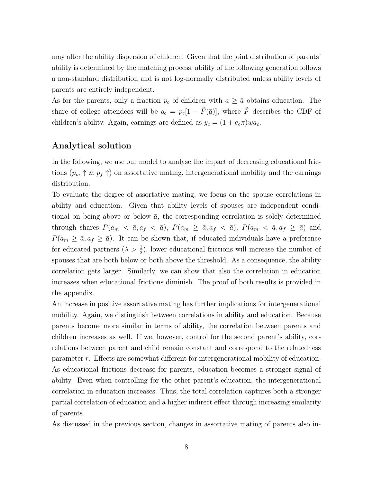may alter the ability dispersion of children. Given that the joint distribution of parents' ability is determined by the matching process, ability of the following generation follows a non-standard distribution and is not log-normally distributed unless ability levels of parents are entirely independent.

As for the parents, only a fraction  $p_c$  of children with  $a \geq \bar{a}$  obtains education. The share of college attendees will be  $q_c = p_c[1 - \tilde{F}(\bar{a})]$ , where  $\tilde{F}$  describes the CDF of children's ability. Again, earnings are defined as  $y_c = (1 + e_c \pi)wa_c$ .

### Analytical solution

In the following, we use our model to analyse the impact of decreasing educational frictions  $(p_m \uparrow \& p_f \uparrow)$  on assortative mating, intergenerational mobility and the earnings distribution.

To evaluate the degree of assortative mating, we focus on the spouse correlations in ability and education. Given that ability levels of spouses are independent conditional on being above or below  $\bar{a}$ , the corresponding correlation is solely determined through shares  $P(a_m < \bar{a}, a_f < \bar{a})$ ,  $P(a_m \ge \bar{a}, a_f < \bar{a})$ ,  $P(a_m < \bar{a}, a_f \ge \bar{a})$  and  $P(a_m \ge \bar{a}, a_f \ge \bar{a})$ . It can be shown that, if educated individuals have a preference for educated partners  $(\lambda > \frac{1}{2})$ , lower educational frictions will increase the number of spouses that are both below or both above the threshold. As a consequence, the ability correlation gets larger. Similarly, we can show that also the correlation in education increases when educational frictions diminish. The proof of both results is provided in the appendix.

An increase in positive assortative mating has further implications for intergenerational mobility. Again, we distinguish between correlations in ability and education. Because parents become more similar in terms of ability, the correlation between parents and children increases as well. If we, however, control for the second parent's ability, correlations between parent and child remain constant and correspond to the relatedness parameter *r*. Effects are somewhat different for intergenerational mobility of education. As educational frictions decrease for parents, education becomes a stronger signal of ability. Even when controlling for the other parent's education, the intergenerational correlation in education increases. Thus, the total correlation captures both a stronger partial correlation of education and a higher indirect effect through increasing similarity of parents.

As discussed in the previous section, changes in assortative mating of parents also in-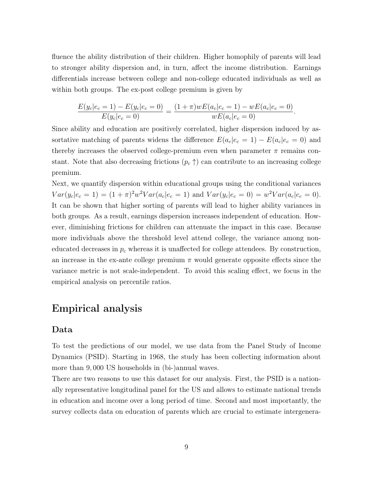fluence the ability distribution of their children. Higher homophily of parents will lead to stronger ability dispersion and, in turn, affect the income distribution. Earnings differentials increase between college and non-college educated individuals as well as within both groups. The ex-post college premium is given by

$$
\frac{E(y_c|e_c=1) - E(y_c|e_c=0)}{E(y_c|e_c=0)} = \frac{(1+\pi)wE(a_c|e_c=1) - wE(a_c|e_c=0)}{wE(a_c|e_c=0)}.
$$

Since ability and education are positively correlated, higher dispersion induced by assortative matching of parents widens the difference  $E(a_c|e_c = 1) - E(a_c|e_c = 0)$  and thereby increases the observed college-premium even when parameter  $\pi$  remains constant. Note that also decreasing frictions  $(p_c \uparrow)$  can contribute to an increasing college premium.

Next, we quantify dispersion within educational groups using the conditional variances  $Var(y_c|e_c = 1) = (1 + \pi)^2 w^2 Var(a_c|e_c = 1)$  and  $Var(y_c|e_c = 0) = w^2 Var(a_c|e_c = 0)$ . It can be shown that higher sorting of parents will lead to higher ability variances in both groups. As a result, earnings dispersion increases independent of education. However, diminishing frictions for children can attenuate the impact in this case. Because more individuals above the threshold level attend college, the variance among noneducated decreases in  $p_c$  whereas it is unaffected for college attendees. By construction, an increase in the ex-ante college premium  $\pi$  would generate opposite effects since the variance metric is not scale-independent. To avoid this scaling effect, we focus in the empirical analysis on percentile ratios.

### Empirical analysis

### Data

To test the predictions of our model, we use data from the Panel Study of Income Dynamics (PSID). Starting in 1968, the study has been collecting information about more than 9*,* 000 US households in (bi-)annual waves.

There are two reasons to use this dataset for our analysis. First, the PSID is a nationally representative longitudinal panel for the US and allows to estimate national trends in education and income over a long period of time. Second and most importantly, the survey collects data on education of parents which are crucial to estimate intergenera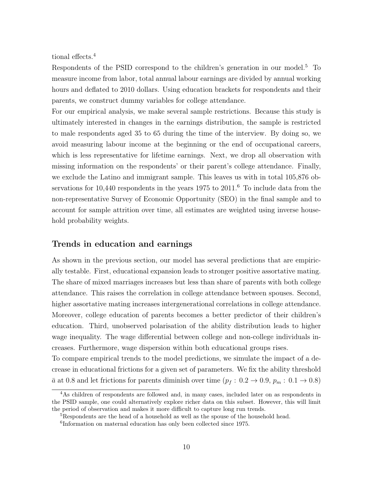tional effects.[4](#page-9-0)

Respondents of the PSID correspond to the children's generation in our model.<sup>[5](#page-9-1)</sup> To measure income from labor, total annual labour earnings are divided by annual working hours and deflated to 2010 dollars. Using education brackets for respondents and their parents, we construct dummy variables for college attendance.

For our empirical analysis, we make several sample restrictions. Because this study is ultimately interested in changes in the earnings distribution, the sample is restricted to male respondents aged 35 to 65 during the time of the interview. By doing so, we avoid measuring labour income at the beginning or the end of occupational careers, which is less representative for lifetime earnings. Next, we drop all observation with missing information on the respondents' or their parent's college attendance. Finally, we exclude the Latino and immigrant sample. This leaves us with in total 105,876 ob-servations for 10,440 respondents in the years 1975 to 2011.<sup>[6](#page-9-2)</sup> To include data from the non-representative Survey of Economic Opportunity (SEO) in the final sample and to account for sample attrition over time, all estimates are weighted using inverse household probability weights.

### Trends in education and earnings

As shown in the previous section, our model has several predictions that are empirically testable. First, educational expansion leads to stronger positive assortative mating. The share of mixed marriages increases but less than share of parents with both college attendance. This raises the correlation in college attendance between spouses. Second, higher assortative mating increases intergenerational correlations in college attendance. Moreover, college education of parents becomes a better predictor of their children's education. Third, unobserved polarisation of the ability distribution leads to higher wage inequality. The wage differential between college and non-college individuals increases. Furthermore, wage dispersion within both educational groups rises.

To compare empirical trends to the model predictions, we simulate the impact of a decrease in educational frictions for a given set of parameters. We fix the ability threshold  $\bar{a}$  at 0.8 and let frictions for parents diminish over time ( $p_f$  : 0.2  $\rightarrow$  0.9,  $p_m$  : 0.1  $\rightarrow$  0.8)

<span id="page-9-0"></span><sup>&</sup>lt;sup>4</sup>As children of respondents are followed and, in many cases, included later on as respondents in the PSID sample, one could alternatively explore richer data on this subset. However, this will limit the period of observation and makes it more difficult to capture long run trends.

<span id="page-9-1"></span><sup>5</sup>Respondents are the head of a household as well as the spouse of the household head.

<span id="page-9-2"></span><sup>6</sup>Information on maternal education has only been collected since 1975.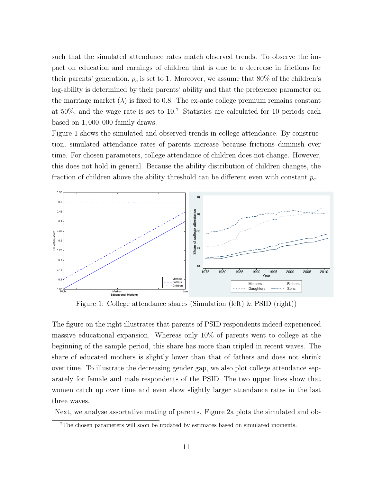such that the simulated attendance rates match observed trends. To observe the impact on education and earnings of children that is due to a decrease in frictions for their parents' generation, *p<sup>c</sup>* is set to 1. Moreover, we assume that 80% of the children's log-ability is determined by their parents' ability and that the preference parameter on the marriage market  $(\lambda)$  is fixed to 0.8. The ex-ante college premium remains constant at 50%, and the wage rate is set to 10. [7](#page-10-0) Statistics are calculated for 10 periods each based on 1*,* 000*,* 000 family draws.

Figure [1](#page-10-1) shows the simulated and observed trends in college attendance. By construction, simulated attendance rates of parents increase because frictions diminish over time. For chosen parameters, college attendance of children does not change. However, this does not hold in general. Because the ability distribution of children changes, the fraction of children above the ability threshold can be different even with constant *pc*.

<span id="page-10-1"></span>

Figure 1: College attendance shares (Simulation (left) & PSID (right))

The figure on the right illustrates that parents of PSID respondents indeed experienced massive educational expansion. Whereas only 10% of parents went to college at the beginning of the sample period, this share has more than tripled in recent waves. The share of educated mothers is slightly lower than that of fathers and does not shrink over time. To illustrate the decreasing gender gap, we also plot college attendance separately for female and male respondents of the PSID. The two upper lines show that women catch up over time and even show slightly larger attendance rates in the last three waves.

Next, we analyse assortative mating of parents. Figure [2a](#page-11-0) plots the simulated and ob-

<span id="page-10-0"></span><sup>7</sup>The chosen parameters will soon be updated by estimates based on simulated moments.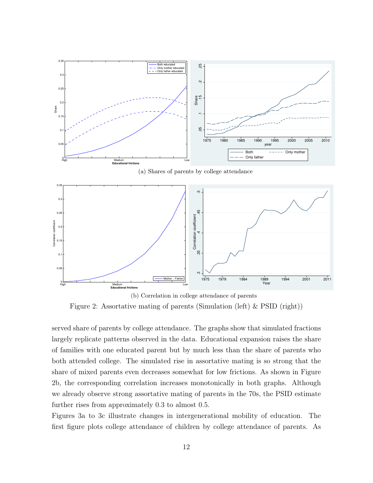<span id="page-11-0"></span>

<span id="page-11-1"></span>(b) Correlation in college attendance of parents Figure 2: Assortative mating of parents (Simulation (left) & PSID (right))

served share of parents by college attendance. The graphs show that simulated fractions largely replicate patterns observed in the data. Educational expansion raises the share of families with one educated parent but by much less than the share of parents who both attended college. The simulated rise in assortative mating is so strong that the share of mixed parents even decreases somewhat for low frictions. As shown in Figure [2b,](#page-11-1) the corresponding correlation increases monotonically in both graphs. Although we already observe strong assortative mating of parents in the 70s, the PSID estimate further rises from approximately 0*.*3 to almost 0*.*5.

Figures [3a](#page-13-0) to [3c](#page-13-1) illustrate changes in intergenerational mobility of education. The first figure plots college attendance of children by college attendance of parents. As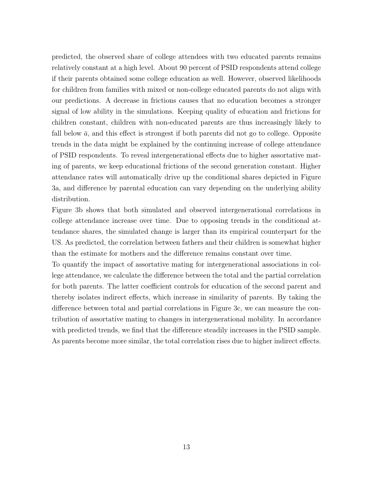predicted, the observed share of college attendees with two educated parents remains relatively constant at a high level. About 90 percent of PSID respondents attend college if their parents obtained some college education as well. However, observed likelihoods for children from families with mixed or non-college educated parents do not align with our predictions. A decrease in frictions causes that no education becomes a stronger signal of low ability in the simulations. Keeping quality of education and frictions for children constant, children with non-educated parents are thus increasingly likely to fall below  $\bar{a}$ , and this effect is strongest if both parents did not go to college. Opposite trends in the data might be explained by the continuing increase of college attendance of PSID respondents. To reveal intergenerational effects due to higher assortative mating of parents, we keep educational frictions of the second generation constant. Higher attendance rates will automatically drive up the conditional shares depicted in Figure [3a,](#page-13-0) and difference by parental education can vary depending on the underlying ability distribution.

Figure [3b](#page-13-2) shows that both simulated and observed intergenerational correlations in college attendance increase over time. Due to opposing trends in the conditional attendance shares, the simulated change is larger than its empirical counterpart for the US. As predicted, the correlation between fathers and their children is somewhat higher than the estimate for mothers and the difference remains constant over time.

To quantify the impact of assortative mating for intergenerational associations in college attendance, we calculate the difference between the total and the partial correlation for both parents. The latter coefficient controls for education of the second parent and thereby isolates indirect effects, which increase in similarity of parents. By taking the difference between total and partial correlations in Figure [3c,](#page-13-1) we can measure the contribution of assortative mating to changes in intergenerational mobility. In accordance with predicted trends, we find that the difference steadily increases in the PSID sample. As parents become more similar, the total correlation rises due to higher indirect effects.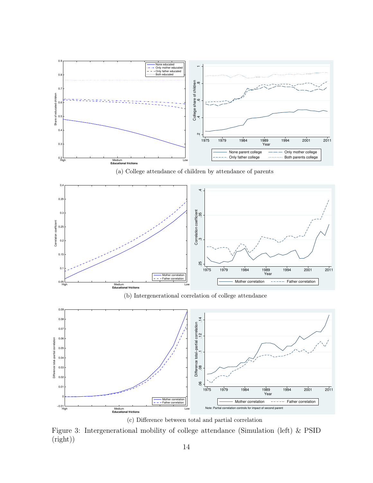<span id="page-13-0"></span>

<span id="page-13-2"></span>

(c) Difference between total and partial correlation

<span id="page-13-1"></span>Figure 3: Intergenerational mobility of college attendance (Simulation (left) & PSID (right))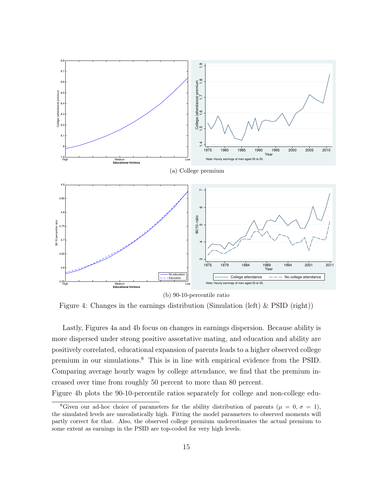<span id="page-14-0"></span>

<span id="page-14-1"></span>Figure 4: Changes in the earnings distribution (Simulation (left) & PSID (right))

Lastly, Figures [4a](#page-14-0) and [4b](#page-14-1) focus on changes in earnings dispersion. Because ability is more dispersed under strong positive assortative mating, and education and ability are positively correlated, educational expansion of parents leads to a higher observed college premium in our simulations.[8](#page-14-2) This is in line with empirical evidence from the PSID. Comparing average hourly wages by college attendance, we find that the premium increased over time from roughly 50 percent to more than 80 percent.

Figure [4b](#page-14-1) plots the 90-10-percentile ratios separately for college and non-college edu-

<span id="page-14-2"></span><sup>&</sup>lt;sup>8</sup>Given our ad-hoc choice of parameters for the ability distribution of parents ( $\mu = 0, \sigma = 1$ ), the simulated levels are unrealistically high. Fitting the model parameters to observed moments will partly correct for that. Also, the observed college premium underestimates the actual premium to some extent as earnings in the PSID are top-coded for very high levels.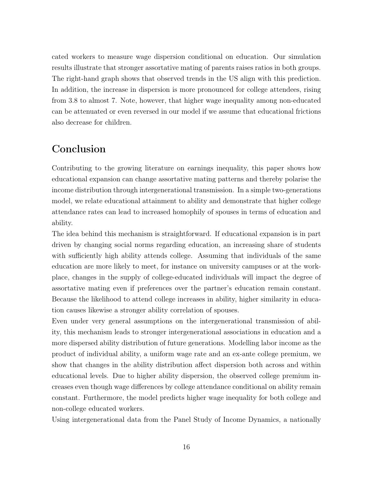cated workers to measure wage dispersion conditional on education. Our simulation results illustrate that stronger assortative mating of parents raises ratios in both groups. The right-hand graph shows that observed trends in the US align with this prediction. In addition, the increase in dispersion is more pronounced for college attendees, rising from 3*.*8 to almost 7. Note, however, that higher wage inequality among non-educated can be attenuated or even reversed in our model if we assume that educational frictions also decrease for children.

# Conclusion

Contributing to the growing literature on earnings inequality, this paper shows how educational expansion can change assortative mating patterns and thereby polarise the income distribution through intergenerational transmission. In a simple two-generations model, we relate educational attainment to ability and demonstrate that higher college attendance rates can lead to increased homophily of spouses in terms of education and ability.

The idea behind this mechanism is straightforward. If educational expansion is in part driven by changing social norms regarding education, an increasing share of students with sufficiently high ability attends college. Assuming that individuals of the same education are more likely to meet, for instance on university campuses or at the workplace, changes in the supply of college-educated individuals will impact the degree of assortative mating even if preferences over the partner's education remain constant. Because the likelihood to attend college increases in ability, higher similarity in education causes likewise a stronger ability correlation of spouses.

Even under very general assumptions on the intergenerational transmission of ability, this mechanism leads to stronger intergenerational associations in education and a more dispersed ability distribution of future generations. Modelling labor income as the product of individual ability, a uniform wage rate and an ex-ante college premium, we show that changes in the ability distribution affect dispersion both across and within educational levels. Due to higher ability dispersion, the observed college premium increases even though wage differences by college attendance conditional on ability remain constant. Furthermore, the model predicts higher wage inequality for both college and non-college educated workers.

Using intergenerational data from the Panel Study of Income Dynamics, a nationally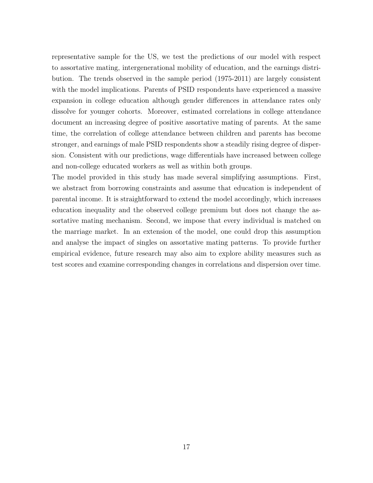representative sample for the US, we test the predictions of our model with respect to assortative mating, intergenerational mobility of education, and the earnings distribution. The trends observed in the sample period (1975-2011) are largely consistent with the model implications. Parents of PSID respondents have experienced a massive expansion in college education although gender differences in attendance rates only dissolve for younger cohorts. Moreover, estimated correlations in college attendance document an increasing degree of positive assortative mating of parents. At the same time, the correlation of college attendance between children and parents has become stronger, and earnings of male PSID respondents show a steadily rising degree of dispersion. Consistent with our predictions, wage differentials have increased between college and non-college educated workers as well as within both groups.

The model provided in this study has made several simplifying assumptions. First, we abstract from borrowing constraints and assume that education is independent of parental income. It is straightforward to extend the model accordingly, which increases education inequality and the observed college premium but does not change the assortative mating mechanism. Second, we impose that every individual is matched on the marriage market. In an extension of the model, one could drop this assumption and analyse the impact of singles on assortative mating patterns. To provide further empirical evidence, future research may also aim to explore ability measures such as test scores and examine corresponding changes in correlations and dispersion over time.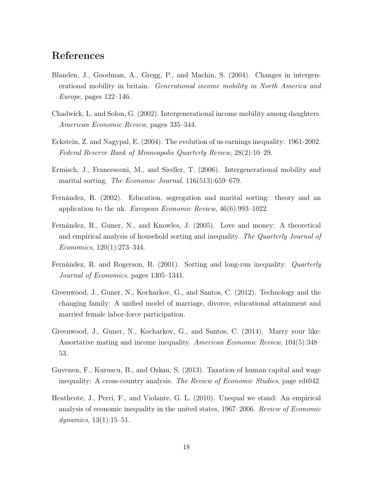## References

- <span id="page-17-10"></span>Blanden, J., Goodman, A., Gregg, P., and Machin, S. (2004). Changes in intergenerational mobility in britain. *Generational income mobility in North America and Europe*, pages 122–146.
- <span id="page-17-8"></span>Chadwick, L. and Solon, G. (2002). Intergenerational income mobility among daughters. *American Economic Review*, pages 335–344.
- <span id="page-17-2"></span>Eckstein, Z. and Nagypal, E. (2004). The evolution of us earnings inequality: 1961-2002. *Federal Reserve Bank of Minneapolis Quarterly Review*, 28(2):10–29.
- <span id="page-17-9"></span>Ermisch, J., Francesconi, M., and Siedler, T. (2006). Intergenerational mobility and marital sorting. *The Economic Journal*, 116(513):659–679.
- <span id="page-17-7"></span>Fernández, R. (2002). Education, segregation and marital sorting: theory and an application to the uk. *European Economic Review*, 46(6):993–1022.
- <span id="page-17-3"></span>Fernández, R., Guner, N., and Knowles, J. (2005). Love and money: A theoretical and empirical analysis of household sorting and inequality. *The Quarterly Journal of Economics*, 120(1):273–344.
- <span id="page-17-6"></span>Fernández, R. and Rogerson, R. (2001). Sorting and long-run inequality. *Quarterly Journal of Economics*, pages 1305–1341.
- <span id="page-17-4"></span>Greenwood, J., Guner, N., Kocharkov, G., and Santos, C. (2012). Technology and the changing family: A unified model of marriage, divorce, educational attainment and married female labor-force participation.
- <span id="page-17-5"></span>Greenwood, J., Guner, N., Kocharkov, G., and Santos, C. (2014). Marry your like: Assortative mating and income inequality. *American Economic Review*, 104(5):348– 53.
- <span id="page-17-1"></span>Guvenen, F., Kuruscu, B., and Ozkan, S. (2013). Taxation of human capital and wage inequality: A cross-country analysis. *The Review of Economic Studies*, page rdt042.
- <span id="page-17-0"></span>Heathcote, J., Perri, F., and Violante, G. L. (2010). Unequal we stand: An empirical analysis of economic inequality in the united states, 1967–2006. *Review of Economic dynamics*, 13(1):15–51.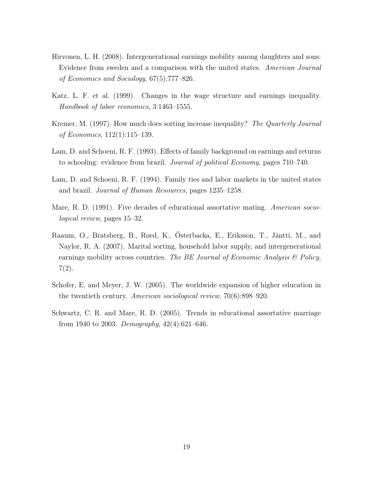- <span id="page-18-6"></span>Hirvonen, L. H. (2008). Intergenerational earnings mobility among daughters and sons: Evidence from sweden and a comparison with the united states. *American Journal of Economics and Sociology*, 67(5):777–826.
- <span id="page-18-2"></span>Katz, L. F. et al. (1999). Changes in the wage structure and earnings inequality. *Handbook of labor economics*, 3:1463–1555.
- <span id="page-18-3"></span>Kremer, M. (1997). How much does sorting increase inequality? *The Quarterly Journal of Economics*, 112(1):115–139.
- <span id="page-18-4"></span>Lam, D. and Schoeni, R. F. (1993). Effects of family background on earnings and returns to schooling: evidence from brazil. *Journal of political Economy*, pages 710–740.
- <span id="page-18-5"></span>Lam, D. and Schoeni, R. F. (1994). Family ties and labor markets in the united states and brazil. *Journal of Human Resources*, pages 1235–1258.
- <span id="page-18-0"></span>Mare, R. D. (1991). Five decades of educational assortative mating. *American sociological review*, pages 15–32.
- <span id="page-18-7"></span>Raaum, O., Bratsberg, B., Røed, K., Österbacka, E., Eriksson, T., Jäntti, M., and Naylor, R. A. (2007). Marital sorting, household labor supply, and intergenerational earnings mobility across countries. *The BE Journal of Economic Analysis & Policy*,  $7(2).$
- <span id="page-18-8"></span>Schofer, E. and Meyer, J. W. (2005). The worldwide expansion of higher education in the twentieth century. *American sociological review*, 70(6):898–920.
- <span id="page-18-1"></span>Schwartz, C. R. and Mare, R. D. (2005). Trends in educational assortative marriage from 1940 to 2003. *Demography*, 42(4):621–646.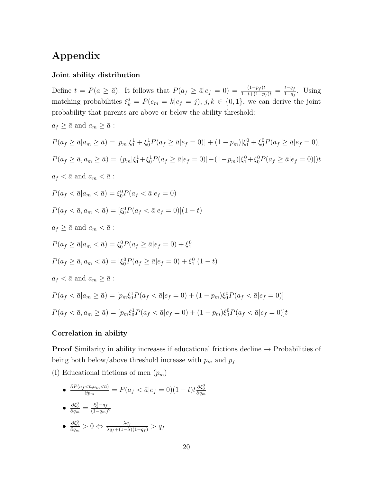# Appendix

#### Joint ability distribution

Define  $t = P(a \ge \overline{a})$ . It follows that  $P(a_f \ge \overline{a}|e_f = 0) = \frac{(1-p_f)t}{1-t+(1-p_f)t} = \frac{t-q_f}{1-q_f}$ . Using matching probabilities  $\xi_k^j = P(e_m = k | e_f = j)$ ,  $j, k \in \{0, 1\}$ , we can derive the joint probability that parents are above or below the ability threshold:  $a_f \geq \bar{a}$  and  $a_m \geq \bar{a}$ :  $P(a_f \ge \bar{a}|a_m \ge \bar{a}) = p_m[\xi_1^1 + \xi_0^1 P(a_f \ge \bar{a}|e_f = 0)] + (1 - p_m)[\xi_1^0 + \xi_0^0 P(a_f \ge \bar{a}|e_f = 0)]$  $P(a_f \ge \bar{a}, a_m \ge \bar{a}) = (p_m[\xi_1^1 + \xi_0^1 P(a_f \ge \bar{a}|e_f = 0)] + (1 - p_m)[\xi_1^0 + \xi_0^0 P(a_f \ge \bar{a}|e_f = 0)])t$  $a_f < \bar{a}$  and  $a_m < \bar{a}$ :  $P(a_f < \bar{a}|a_m < \bar{a}) = \xi_0^0 P(a_f < \bar{a}|e_f = 0)$  $P(a_f < \bar{a}, a_m < \bar{a}) = [\xi_0^0 P(a_f < \bar{a}|e_f = 0)](1-t)$  $a_f \geq \bar{a}$  and  $a_m < \bar{a}$ :

$$
P(a_f \ge \bar{a}|a_m < \bar{a}) = \xi_0^0 P(a_f \ge \bar{a}|e_f = 0) + \xi_1^0
$$
\n
$$
P(a_f \ge \bar{a}, a_m < \bar{a}) = [\xi_0^0 P(a_f \ge \bar{a}|e_f = 0) + \xi_1^0](1 - t)
$$
\n
$$
a_f < \bar{a} \text{ and } a_m \ge \bar{a}:
$$
\n
$$
P(a_f < \bar{a}|a_m \ge \bar{a}) = [p_m \xi_0^1 P(a_f < \bar{a}|e_f = 0) + (1 - p_m) \xi_0^0 P(a_f < \bar{a}|e_f = 0)]
$$
\n
$$
P(a_f < \bar{a}, a_m \ge \bar{a}) = [p_m \xi_0^1 P(a_f < \bar{a}|e_f = 0) + (1 - p_m) \xi_0^0 P(a_f < \bar{a}|e_f = 0)]t
$$

#### Correlation in ability

**Proof** Similarity in ability increases if educational frictions decline  $\rightarrow$  Probabilities of being both below/above threshold increase with  $p_m$  and  $p_f$ 

- (I) Educational frictions of men (*pm*)
	- $\bullet$   $\frac{\partial P(a_f < \bar{a}, a_m < \bar{a})}{\partial p_m} = P(a_f < \bar{a}|e_f = 0)(1-t)t \frac{\partial \xi_0^0}{\partial q_m}$

$$
\bullet \ \frac{\partial \xi_0^0}{\partial q_m} = \frac{\xi_1^1 - q_f}{(1 - q_m)^2}
$$

$$
\bullet \ \frac{\partial \xi_0^0}{\partial q_m} > 0 \Leftrightarrow \frac{\lambda q_f}{\lambda q_f + (1 - \lambda)(1 - q_f)} > q_f
$$